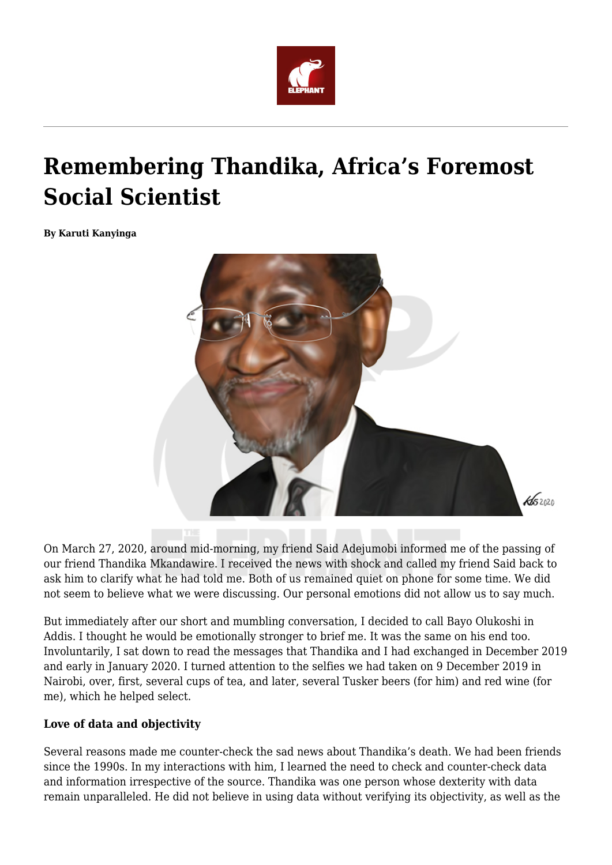

# **Remembering Thandika, Africa's Foremost Social Scientist**

**By Karuti Kanyinga**



On March 27, 2020, around mid-morning, my friend Said Adejumobi informed me of the passing of our friend Thandika Mkandawire. I received the news with shock and called my friend Said back to ask him to clarify what he had told me. Both of us remained quiet on phone for some time. We did not seem to believe what we were discussing. Our personal emotions did not allow us to say much.

But immediately after our short and mumbling conversation, I decided to call Bayo Olukoshi in Addis. I thought he would be emotionally stronger to brief me. It was the same on his end too. Involuntarily, I sat down to read the messages that Thandika and I had exchanged in December 2019 and early in January 2020. I turned attention to the selfies we had taken on 9 December 2019 in Nairobi, over, first, several cups of tea, and later, several Tusker beers (for him) and red wine (for me), which he helped select.

#### **Love of data and objectivity**

Several reasons made me counter-check the sad news about Thandika's death. We had been friends since the 1990s. In my interactions with him, I learned the need to check and counter-check data and information irrespective of the source. Thandika was one person whose dexterity with data remain unparalleled. He did not believe in using data without verifying its objectivity, as well as the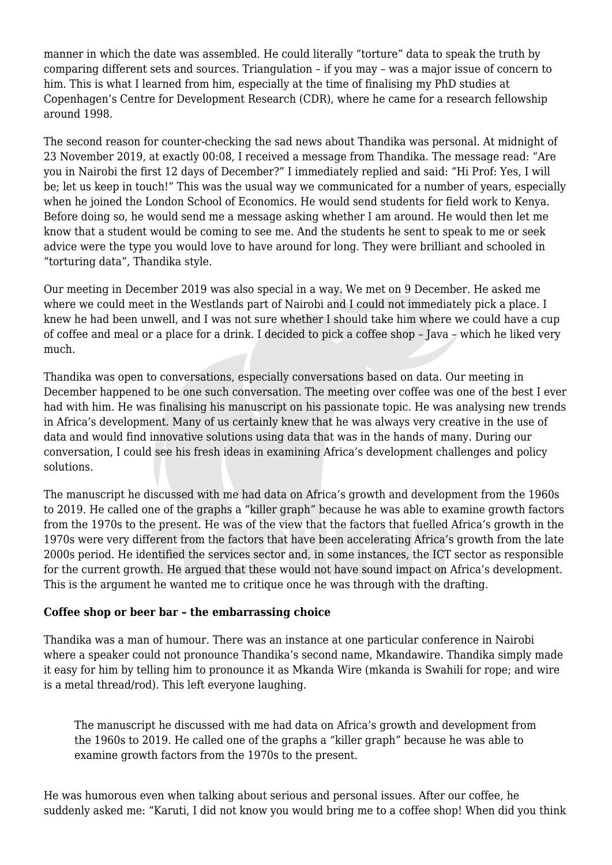manner in which the date was assembled. He could literally "torture" data to speak the truth by comparing different sets and sources. Triangulation – if you may – was a major issue of concern to him. This is what I learned from him, especially at the time of finalising my PhD studies at Copenhagen's Centre for Development Research (CDR), where he came for a research fellowship around 1998.

The second reason for counter-checking the sad news about Thandika was personal. At midnight of 23 November 2019, at exactly 00:08, I received a message from Thandika. The message read: "Are you in Nairobi the first 12 days of December?" I immediately replied and said: "Hi Prof: Yes, I will be; let us keep in touch!" This was the usual way we communicated for a number of years, especially when he joined the London School of Economics. He would send students for field work to Kenya. Before doing so, he would send me a message asking whether I am around. He would then let me know that a student would be coming to see me. And the students he sent to speak to me or seek advice were the type you would love to have around for long. They were brilliant and schooled in "torturing data", Thandika style.

Our meeting in December 2019 was also special in a way. We met on 9 December. He asked me where we could meet in the Westlands part of Nairobi and I could not immediately pick a place. I knew he had been unwell, and I was not sure whether I should take him where we could have a cup of coffee and meal or a place for a drink. I decided to pick a coffee shop – Java – which he liked very much.

Thandika was open to conversations, especially conversations based on data. Our meeting in December happened to be one such conversation. The meeting over coffee was one of the best I ever had with him. He was finalising his manuscript on his passionate topic. He was analysing new trends in Africa's development. Many of us certainly knew that he was always very creative in the use of data and would find innovative solutions using data that was in the hands of many. During our conversation, I could see his fresh ideas in examining Africa's development challenges and policy solutions.

The manuscript he discussed with me had data on Africa's growth and development from the 1960s to 2019. He called one of the graphs a "killer graph" because he was able to examine growth factors from the 1970s to the present. He was of the view that the factors that fuelled Africa's growth in the 1970s were very different from the factors that have been accelerating Africa's growth from the late 2000s period. He identified the services sector and, in some instances, the ICT sector as responsible for the current growth. He argued that these would not have sound impact on Africa's development. This is the argument he wanted me to critique once he was through with the drafting.

#### **Coffee shop or beer bar – the embarrassing choice**

Thandika was a man of humour. There was an instance at one particular conference in Nairobi where a speaker could not pronounce Thandika's second name, Mkandawire. Thandika simply made it easy for him by telling him to pronounce it as Mkanda Wire (mkanda is Swahili for rope; and wire is a metal thread/rod). This left everyone laughing.

The manuscript he discussed with me had data on Africa's growth and development from the 1960s to 2019. He called one of the graphs a "killer graph" because he was able to examine growth factors from the 1970s to the present.

He was humorous even when talking about serious and personal issues. After our coffee, he suddenly asked me: "Karuti, I did not know you would bring me to a coffee shop! When did you think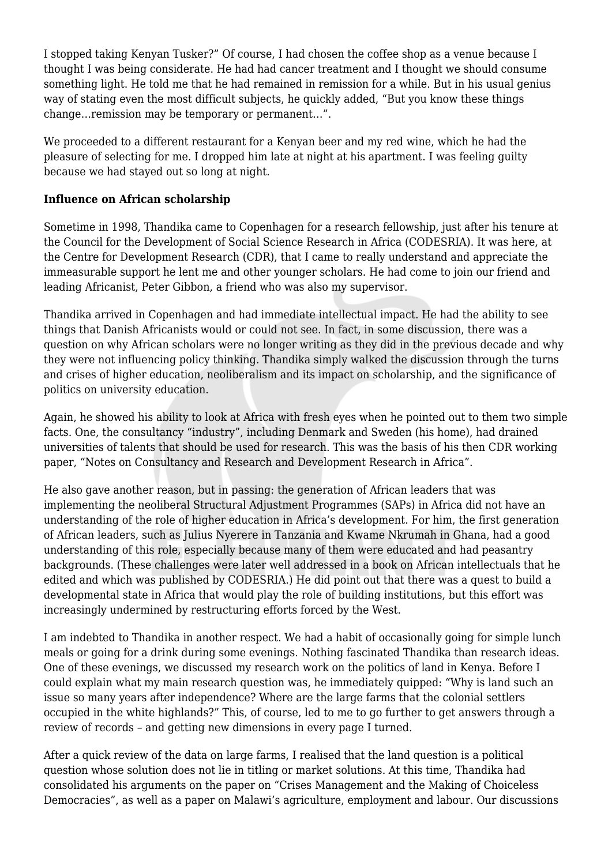I stopped taking Kenyan Tusker?" Of course, I had chosen the coffee shop as a venue because I thought I was being considerate. He had had cancer treatment and I thought we should consume something light. He told me that he had remained in remission for a while. But in his usual genius way of stating even the most difficult subjects, he quickly added, "But you know these things change…remission may be temporary or permanent…".

We proceeded to a different restaurant for a Kenyan beer and my red wine, which he had the pleasure of selecting for me. I dropped him late at night at his apartment. I was feeling guilty because we had stayed out so long at night.

### **Influence on African scholarship**

Sometime in 1998, Thandika came to Copenhagen for a research fellowship, just after his tenure at the Council for the Development of Social Science Research in Africa (CODESRIA). It was here, at the Centre for Development Research (CDR), that I came to really understand and appreciate the immeasurable support he lent me and other younger scholars. He had come to join our friend and leading Africanist, Peter Gibbon, a friend who was also my supervisor.

Thandika arrived in Copenhagen and had immediate intellectual impact. He had the ability to see things that Danish Africanists would or could not see. In fact, in some discussion, there was a question on why African scholars were no longer writing as they did in the previous decade and why they were not influencing policy thinking. Thandika simply walked the discussion through the turns and crises of higher education, neoliberalism and its impact on scholarship, and the significance of politics on university education.

Again, he showed his ability to look at Africa with fresh eyes when he pointed out to them two simple facts. One, the consultancy "industry", including Denmark and Sweden (his home), had drained universities of talents that should be used for research. This was the basis of his then CDR working paper, "Notes on Consultancy and Research and Development Research in Africa".

He also gave another reason, but in passing: the generation of African leaders that was implementing the neoliberal Structural Adjustment Programmes (SAPs) in Africa did not have an understanding of the role of higher education in Africa's development. For him, the first generation of African leaders, such as Julius Nyerere in Tanzania and Kwame Nkrumah in Ghana, had a good understanding of this role, especially because many of them were educated and had peasantry backgrounds. (These challenges were later well addressed in a book on African intellectuals that he edited and which was published by CODESRIA.) He did point out that there was a quest to build a developmental state in Africa that would play the role of building institutions, but this effort was increasingly undermined by restructuring efforts forced by the West.

I am indebted to Thandika in another respect. We had a habit of occasionally going for simple lunch meals or going for a drink during some evenings. Nothing fascinated Thandika than research ideas. One of these evenings, we discussed my research work on the politics of land in Kenya. Before I could explain what my main research question was, he immediately quipped: "Why is land such an issue so many years after independence? Where are the large farms that the colonial settlers occupied in the white highlands?" This, of course, led to me to go further to get answers through a review of records – and getting new dimensions in every page I turned.

After a quick review of the data on large farms, I realised that the land question is a political question whose solution does not lie in titling or market solutions. At this time, Thandika had consolidated his arguments on the paper on "Crises Management and the Making of Choiceless Democracies", as well as a paper on Malawi's agriculture, employment and labour. Our discussions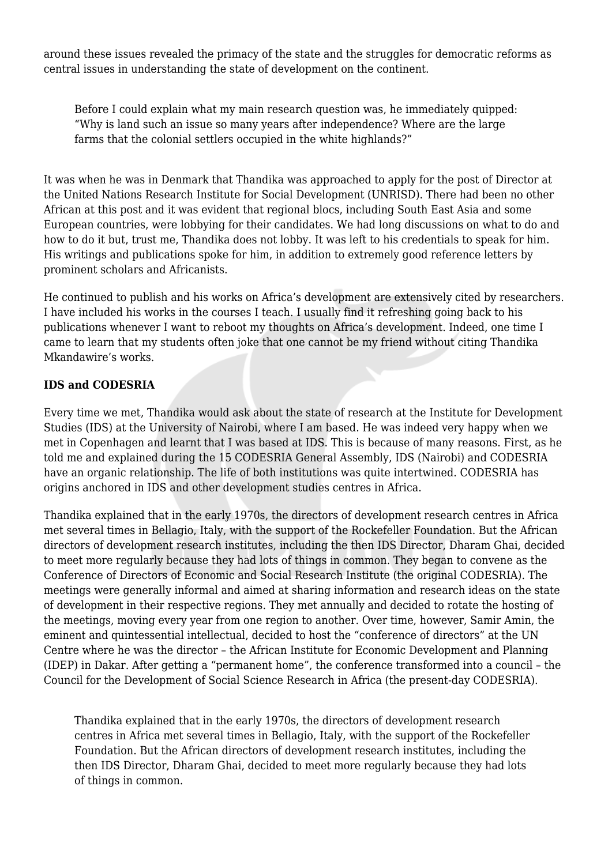around these issues revealed the primacy of the state and the struggles for democratic reforms as central issues in understanding the state of development on the continent.

Before I could explain what my main research question was, he immediately quipped: "Why is land such an issue so many years after independence? Where are the large farms that the colonial settlers occupied in the white highlands?"

It was when he was in Denmark that Thandika was approached to apply for the post of Director at the United Nations Research Institute for Social Development (UNRISD). There had been no other African at this post and it was evident that regional blocs, including South East Asia and some European countries, were lobbying for their candidates. We had long discussions on what to do and how to do it but, trust me, Thandika does not lobby. It was left to his credentials to speak for him. His writings and publications spoke for him, in addition to extremely good reference letters by prominent scholars and Africanists.

He continued to publish and his works on Africa's development are extensively cited by researchers. I have included his works in the courses I teach. I usually find it refreshing going back to his publications whenever I want to reboot my thoughts on Africa's development. Indeed, one time I came to learn that my students often joke that one cannot be my friend without citing Thandika Mkandawire's works.

## **IDS and CODESRIA**

Every time we met, Thandika would ask about the state of research at the Institute for Development Studies (IDS) at the University of Nairobi, where I am based. He was indeed very happy when we met in Copenhagen and learnt that I was based at IDS. This is because of many reasons. First, as he told me and explained during the 15 CODESRIA General Assembly, IDS (Nairobi) and CODESRIA have an organic relationship. The life of both institutions was quite intertwined. CODESRIA has origins anchored in IDS and other development studies centres in Africa.

Thandika explained that in the early 1970s, the directors of development research centres in Africa met several times in Bellagio, Italy, with the support of the Rockefeller Foundation. But the African directors of development research institutes, including the then IDS Director, Dharam Ghai, decided to meet more regularly because they had lots of things in common. They began to convene as the Conference of Directors of Economic and Social Research Institute (the original CODESRIA). The meetings were generally informal and aimed at sharing information and research ideas on the state of development in their respective regions. They met annually and decided to rotate the hosting of the meetings, moving every year from one region to another. Over time, however, Samir Amin, the eminent and quintessential intellectual, decided to host the "conference of directors" at the UN Centre where he was the director – the African Institute for Economic Development and Planning (IDEP) in Dakar. After getting a "permanent home", the conference transformed into a council – the Council for the Development of Social Science Research in Africa (the present-day CODESRIA).

Thandika explained that in the early 1970s, the directors of development research centres in Africa met several times in Bellagio, Italy, with the support of the Rockefeller Foundation. But the African directors of development research institutes, including the then IDS Director, Dharam Ghai, decided to meet more regularly because they had lots of things in common.